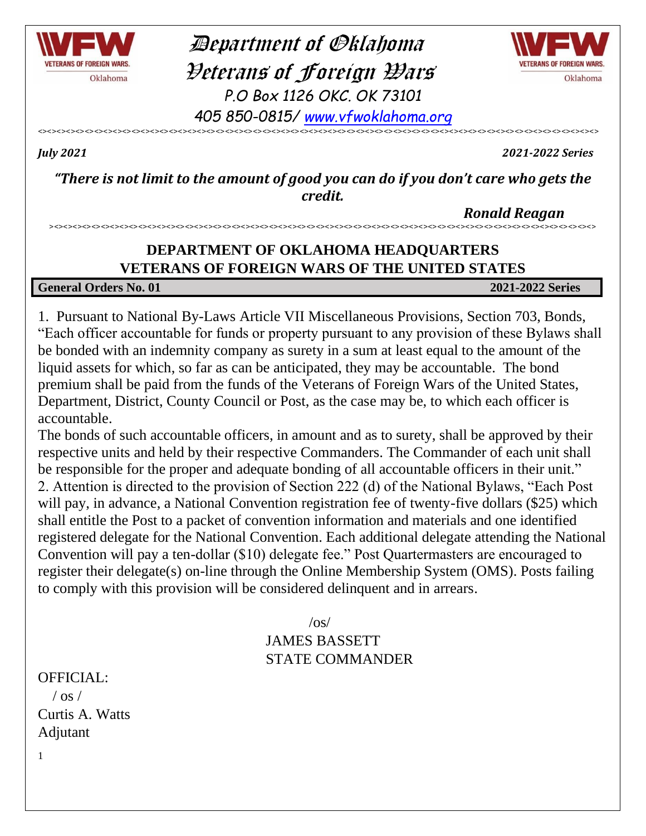

 Department of Oklahoma Veterans of Foreign Wars *P.O Box 1126 OKC. OK 73101 405 850-0815/ [www.vfwoklahoma.org](http://www.vfwoklahoma.org/)*



*July 2021 2021-2022 Series*

*"There is not limit to the amount of good you can do if you don't care who gets the credit.*

<><><><><><><><><><><><><><><><><><><><><><><><><><><><><><><><><><><><><><><><><><><><><><><><><><><><><><><><><><><><>

 *Ronald Reagan*

## **DEPARTMENT OF OKLAHOMA HEADQUARTERS VETERANS OF FOREIGN WARS OF THE UNITED STATES**

><><><><><><><><><><><><><><><><><><><><><><><><><><><><><><><><><><><><><><><><><><><><><><><><><><><><><><><><><><>

### **General Orders No. 01 2021-2022 Series**

1. Pursuant to National By-Laws Article VII Miscellaneous Provisions, Section 703, Bonds, "Each officer accountable for funds or property pursuant to any provision of these Bylaws shall be bonded with an indemnity company as surety in a sum at least equal to the amount of the liquid assets for which, so far as can be anticipated, they may be accountable. The bond premium shall be paid from the funds of the Veterans of Foreign Wars of the United States, Department, District, County Council or Post, as the case may be, to which each officer is accountable.

The bonds of such accountable officers, in amount and as to surety, shall be approved by their respective units and held by their respective Commanders. The Commander of each unit shall be responsible for the proper and adequate bonding of all accountable officers in their unit." 2. Attention is directed to the provision of Section 222 (d) of the National Bylaws, "Each Post will pay, in advance, a National Convention registration fee of twenty-five dollars (\$25) which shall entitle the Post to a packet of convention information and materials and one identified registered delegate for the National Convention. Each additional delegate attending the National Convention will pay a ten-dollar (\$10) delegate fee." Post Quartermasters are encouraged to register their delegate(s) on-line through the Online Membership System (OMS). Posts failing to comply with this provision will be considered delinquent and in arrears.

> $\sqrt{os/}$ JAMES BASSETT STATE COMMANDER

OFFICIAL:  $/$  os  $/$ Curtis A. Watts Adjutant

1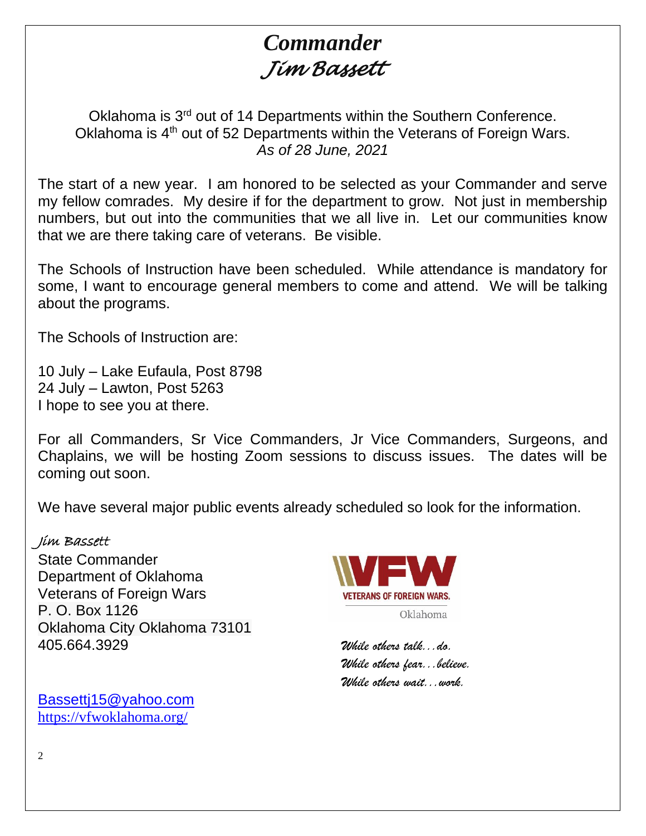# *Commander Jim Bassett*

Oklahoma is 3<sup>rd</sup> out of 14 Departments within the Southern Conference. Oklahoma is 4<sup>th</sup> out of 52 Departments within the Veterans of Foreign Wars. *As of 28 June, 2021*

The start of a new year. I am honored to be selected as your Commander and serve my fellow comrades. My desire if for the department to grow. Not just in membership numbers, but out into the communities that we all live in. Let our communities know that we are there taking care of veterans. Be visible.

The Schools of Instruction have been scheduled. While attendance is mandatory for some, I want to encourage general members to come and attend. We will be talking about the programs.

The Schools of Instruction are:

10 July – Lake Eufaula, Post 8798 24 July – Lawton, Post 5263 I hope to see you at there.

For all Commanders, Sr Vice Commanders, Jr Vice Commanders, Surgeons, and Chaplains, we will be hosting Zoom sessions to discuss issues. The dates will be coming out soon.

We have several major public events already scheduled so look for the information.

## Jim Bassett

State Commander Department of Oklahoma Veterans of Foreign Wars P. O. Box 1126 Oklahoma City Oklahoma 73101 405.664.3929 *While others talk...do.*

[Bassettj15@yahoo.com](mailto:Bassettj15@yahoo.com) <https://vfwoklahoma.org/>



*While others fear...believe. While others wait...work.*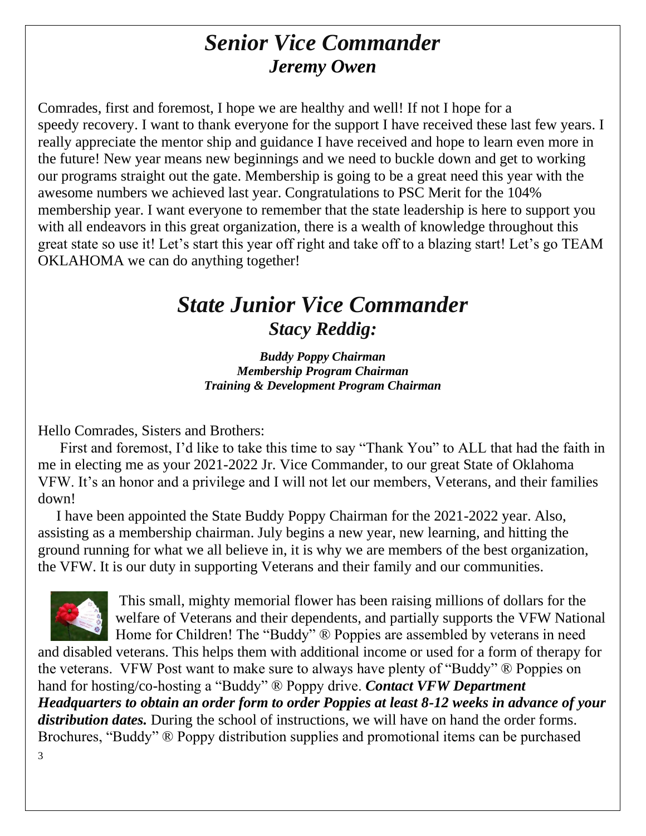# *Senior Vice Commander Jeremy Owen*

Comrades, first and foremost, I hope we are healthy and well! If not I hope for a speedy recovery. I want to thank everyone for the support I have received these last few years. I really appreciate the mentor ship and guidance I have received and hope to learn even more in the future! New year means new beginnings and we need to buckle down and get to working our programs straight out the gate. Membership is going to be a great need this year with the awesome numbers we achieved last year. Congratulations to PSC Merit for the 104% membership year. I want everyone to remember that the state leadership is here to support you with all endeavors in this great organization, there is a wealth of knowledge throughout this great state so use it! Let's start this year off right and take off to a blazing start! Let's go TEAM OKLAHOMA we can do anything together!

# *State Junior Vice Commander Stacy Reddig:*

*Buddy Poppy Chairman Membership Program Chairman Training & Development Program Chairman*

Hello Comrades, Sisters and Brothers:

 First and foremost, I'd like to take this time to say "Thank You" to ALL that had the faith in me in electing me as your 2021-2022 Jr. Vice Commander, to our great State of Oklahoma VFW. It's an honor and a privilege and I will not let our members, Veterans, and their families down!

 I have been appointed the State Buddy Poppy Chairman for the 2021-2022 year. Also, assisting as a membership chairman. July begins a new year, new learning, and hitting the ground running for what we all believe in, it is why we are members of the best organization, the VFW. It is our duty in supporting Veterans and their family and our communities.



This small, mighty memorial flower has been raising millions of dollars for the welfare of Veterans and their dependents, and partially supports the VFW National Home for Children! The "Buddy" ® Poppies are assembled by veterans in need

3 and disabled veterans. This helps them with additional income or used for a form of therapy for the veterans. VFW Post want to make sure to always have plenty of "Buddy" ® Poppies on hand for hosting/co-hosting a "Buddy" ® Poppy drive. *Contact VFW Department Headquarters to obtain an order form to order Poppies at least 8-12 weeks in advance of your distribution dates.* During the school of instructions, we will have on hand the order forms. Brochures, "Buddy" ® Poppy distribution supplies and promotional items can be purchased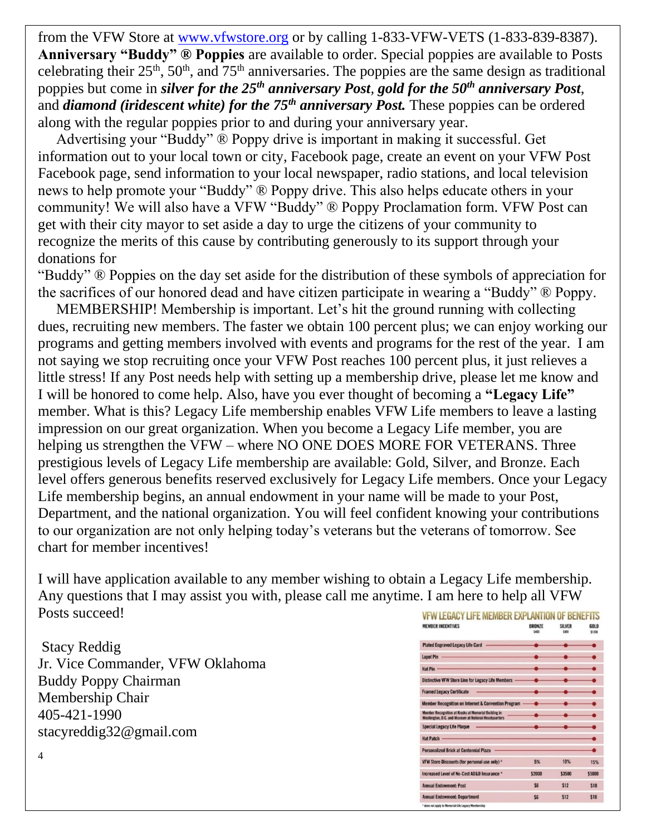from the VFW Store at [www.vfwstore.org](http://www.vfwstore.org/) or by calling 1-833-VFW-VETS (1-833-839-8387). **Anniversary "Buddy" ® Poppies** are available to order. Special poppies are available to Posts celebrating their  $25<sup>th</sup>$ ,  $50<sup>th</sup>$ , and  $75<sup>th</sup>$  anniversaries. The poppies are the same design as traditional poppies but come in *silver for the 25th anniversary Post, gold for the 50th anniversary Post*, and *diamond (iridescent white) for the 75th anniversary Post.* These poppies can be ordered along with the regular poppies prior to and during your anniversary year.

 Advertising your "Buddy" ® Poppy drive is important in making it successful. Get information out to your local town or city, Facebook page, create an event on your VFW Post Facebook page, send information to your local newspaper, radio stations, and local television news to help promote your "Buddy" ® Poppy drive. This also helps educate others in your community! We will also have a VFW "Buddy" ® Poppy Proclamation form. VFW Post can get with their city mayor to set aside a day to urge the citizens of your community to recognize the merits of this cause by contributing generously to its support through your donations for

"Buddy" ® Poppies on the day set aside for the distribution of these symbols of appreciation for the sacrifices of our honored dead and have citizen participate in wearing a "Buddy" ® Poppy.

 MEMBERSHIP! Membership is important. Let's hit the ground running with collecting dues, recruiting new members. The faster we obtain 100 percent plus; we can enjoy working our programs and getting members involved with events and programs for the rest of the year. I am not saying we stop recruiting once your VFW Post reaches 100 percent plus, it just relieves a little stress! If any Post needs help with setting up a membership drive, please let me know and I will be honored to come help. Also, have you ever thought of becoming a **"Legacy Life"** member. What is this? Legacy Life membership enables VFW Life members to leave a lasting impression on our great organization. When you become a Legacy Life member, you are helping us strengthen the VFW – where NO ONE DOES MORE FOR VETERANS. Three prestigious levels of Legacy Life membership are available: Gold, Silver, and Bronze. Each level offers generous benefits reserved exclusively for Legacy Life members. Once your Legacy Life membership begins, an annual endowment in your name will be made to your Post, Department, and the national organization. You will feel confident knowing your contributions to our organization are not only helping today's veterans but the veterans of tomorrow. See chart for member incentives!

I will have application available to any member wishing to obtain a Legacy Life membership. Any questions that I may assist you with, please call me anytime. I am here to help all VFW Posts succeed!

Stacy Reddig Jr. Vice Commander, VFW Oklahoma Buddy Poppy Chairman Membership Chair 405-421-1990 stacyreddig32@gmail.com

| FW LEGACY LIFE MEMBER EXPLANTION OF BENEFI                                                                                                                                                                                           |                        |                        |                       |
|--------------------------------------------------------------------------------------------------------------------------------------------------------------------------------------------------------------------------------------|------------------------|------------------------|-----------------------|
| <b>MEMBER INCENTIVES</b>                                                                                                                                                                                                             | <b>RRON7F</b><br>\$400 | <b>SILVER</b><br>\$800 | <b>GOLD</b><br>\$1200 |
| Plated Engraved Legacy Life Card                                                                                                                                                                                                     |                        |                        |                       |
| Lapel Pin                                                                                                                                                                                                                            |                        |                        |                       |
| Hat Pin                                                                                                                                                                                                                              |                        |                        |                       |
| Distinctive VFW Store Line for Legacy Life Members -                                                                                                                                                                                 |                        |                        |                       |
| the control of the control of<br><b>Framed Legacy Certificate</b>                                                                                                                                                                    |                        |                        |                       |
| Member Recognition on Internet & Convention Program -                                                                                                                                                                                |                        |                        |                       |
| Member Recognition at Kiosks at Memorial Building in<br>Washington, D.C. and Museum at National Headquarters                                                                                                                         |                        |                        |                       |
| Special Legacy Life Plaque                                                                                                                                                                                                           |                        |                        |                       |
| Hat Patch <b>All Andrew Community of the Community of the Community of the Community of the Community of the Community of the Community of the Community of the Community of the Community of the Community of the Community of </b> |                        |                        |                       |
| <b>Personalized Brick at Centennial Plaza</b>                                                                                                                                                                                        |                        |                        |                       |
| VFW Store Discounts (for personal use only) *                                                                                                                                                                                        | 5%                     | 10%                    | 15%                   |
| Increased Level of No-Cost AD&D Insurance *                                                                                                                                                                                          | \$2000                 | \$3500                 | \$5000                |
| <b>Annual Endowment: Post</b>                                                                                                                                                                                                        | \$6                    | \$12                   | \$18                  |
| <b>Annual Endowment: Department</b>                                                                                                                                                                                                  | \$6                    | \$12                   | \$18                  |
| * does not apply to Memorial Life Legacy Membership                                                                                                                                                                                  |                        |                        |                       |

4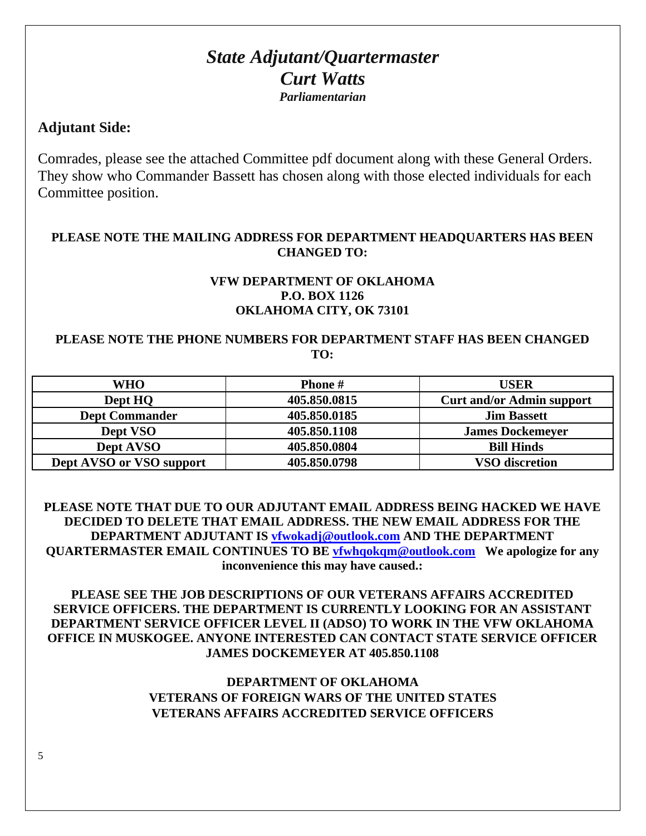## *State Adjutant/Quartermaster Curt Watts Parliamentarian*

## **Adjutant Side:**

Comrades, please see the attached Committee pdf document along with these General Orders. They show who Commander Bassett has chosen along with those elected individuals for each Committee position.

### **PLEASE NOTE THE MAILING ADDRESS FOR DEPARTMENT HEADQUARTERS HAS BEEN CHANGED TO:**

#### **VFW DEPARTMENT OF OKLAHOMA P.O. BOX 1126 OKLAHOMA CITY, OK 73101**

### **PLEASE NOTE THE PHONE NUMBERS FOR DEPARTMENT STAFF HAS BEEN CHANGED TO:**

| <b>WHO</b>               | <b>Phone</b> # | <b>USER</b>                      |
|--------------------------|----------------|----------------------------------|
| Dept HQ                  | 405.850.0815   | <b>Curt and/or Admin support</b> |
| <b>Dept Commander</b>    | 405.850.0185   | <b>Jim Bassett</b>               |
| Dept VSO                 | 405.850.1108   | <b>James Dockemeyer</b>          |
| Dept AVSO                | 405.850.0804   | <b>Bill Hinds</b>                |
| Dept AVSO or VSO support | 405.850.0798   | <b>VSO</b> discretion            |

**PLEASE NOTE THAT DUE TO OUR ADJUTANT EMAIL ADDRESS BEING HACKED WE HAVE DECIDED TO DELETE THAT EMAIL ADDRESS. THE NEW EMAIL ADDRESS FOR THE DEPARTMENT ADJUTANT IS [vfwokadj@outlook.com](mailto:vfwokadj@outlook.com) AND THE DEPARTMENT QUARTERMASTER EMAIL CONTINUES TO BE [vfwhqokqm@outlook.com](mailto:vfwhqokqm@outlook.com) We apologize for any inconvenience this may have caused.:**

**PLEASE SEE THE JOB DESCRIPTIONS OF OUR VETERANS AFFAIRS ACCREDITED SERVICE OFFICERS. THE DEPARTMENT IS CURRENTLY LOOKING FOR AN ASSISTANT DEPARTMENT SERVICE OFFICER LEVEL II (ADSO) TO WORK IN THE VFW OKLAHOMA OFFICE IN MUSKOGEE. ANYONE INTERESTED CAN CONTACT STATE SERVICE OFFICER JAMES DOCKEMEYER AT 405.850.1108** 

## **DEPARTMENT OF OKLAHOMA VETERANS OF FOREIGN WARS OF THE UNITED STATES VETERANS AFFAIRS ACCREDITED SERVICE OFFICERS**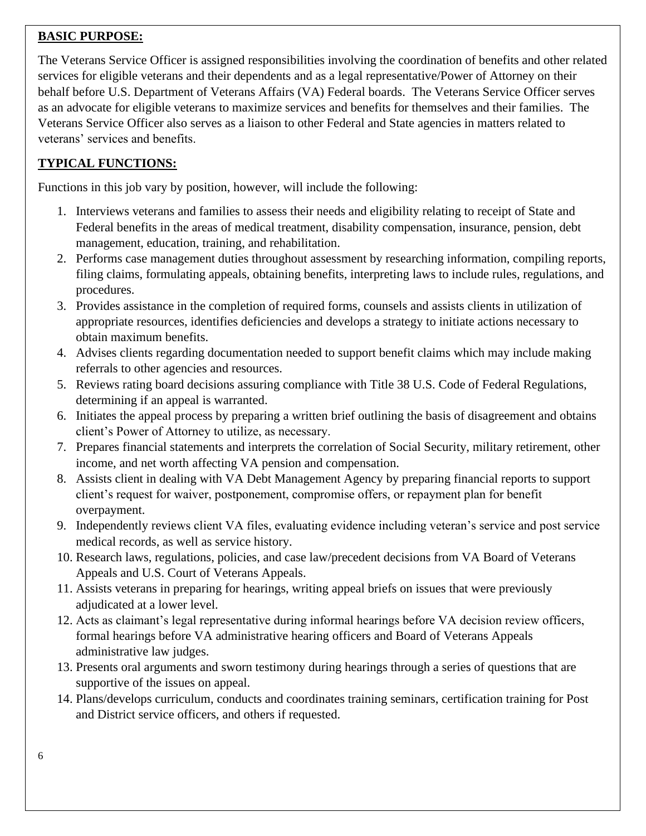## **BASIC PURPOSE:**

The Veterans Service Officer is assigned responsibilities involving the coordination of benefits and other related services for eligible veterans and their dependents and as a legal representative/Power of Attorney on their behalf before U.S. Department of Veterans Affairs (VA) Federal boards. The Veterans Service Officer serves as an advocate for eligible veterans to maximize services and benefits for themselves and their families. The Veterans Service Officer also serves as a liaison to other Federal and State agencies in matters related to veterans' services and benefits.

## **TYPICAL FUNCTIONS:**

Functions in this job vary by position, however, will include the following:

- 1. Interviews veterans and families to assess their needs and eligibility relating to receipt of State and Federal benefits in the areas of medical treatment, disability compensation, insurance, pension, debt management, education, training, and rehabilitation.
- 2. Performs case management duties throughout assessment by researching information, compiling reports, filing claims, formulating appeals, obtaining benefits, interpreting laws to include rules, regulations, and procedures.
- 3. Provides assistance in the completion of required forms, counsels and assists clients in utilization of appropriate resources, identifies deficiencies and develops a strategy to initiate actions necessary to obtain maximum benefits.
- 4. Advises clients regarding documentation needed to support benefit claims which may include making referrals to other agencies and resources.
- 5. Reviews rating board decisions assuring compliance with Title 38 U.S. Code of Federal Regulations, determining if an appeal is warranted.
- 6. Initiates the appeal process by preparing a written brief outlining the basis of disagreement and obtains client's Power of Attorney to utilize, as necessary.
- 7. Prepares financial statements and interprets the correlation of Social Security, military retirement, other income, and net worth affecting VA pension and compensation.
- 8. Assists client in dealing with VA Debt Management Agency by preparing financial reports to support client's request for waiver, postponement, compromise offers, or repayment plan for benefit overpayment.
- 9. Independently reviews client VA files, evaluating evidence including veteran's service and post service medical records, as well as service history.
- 10. Research laws, regulations, policies, and case law/precedent decisions from VA Board of Veterans Appeals and U.S. Court of Veterans Appeals.
- 11. Assists veterans in preparing for hearings, writing appeal briefs on issues that were previously adjudicated at a lower level.
- 12. Acts as claimant's legal representative during informal hearings before VA decision review officers, formal hearings before VA administrative hearing officers and Board of Veterans Appeals administrative law judges.
- 13. Presents oral arguments and sworn testimony during hearings through a series of questions that are supportive of the issues on appeal.
- 14. Plans/develops curriculum, conducts and coordinates training seminars, certification training for Post and District service officers, and others if requested.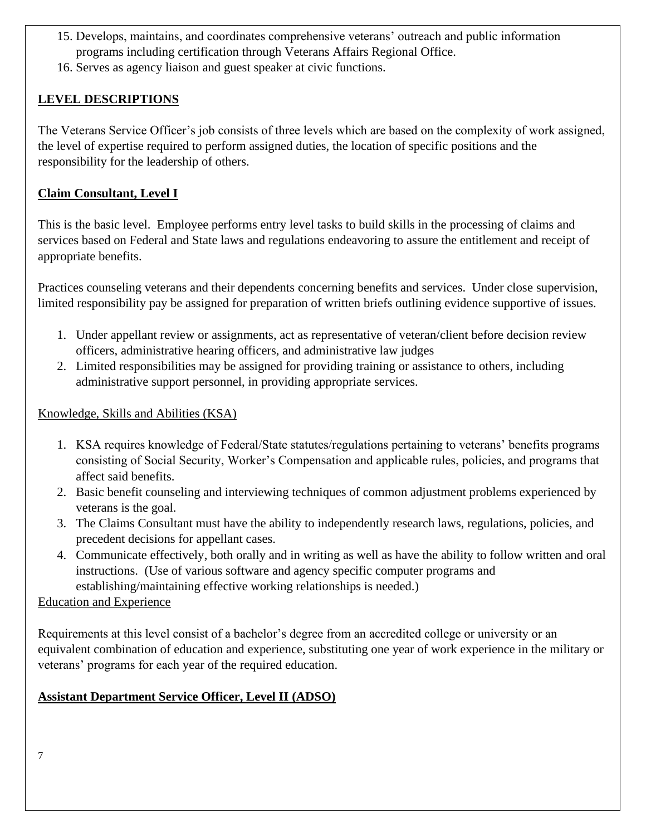- 15. Develops, maintains, and coordinates comprehensive veterans' outreach and public information programs including certification through Veterans Affairs Regional Office.
- 16. Serves as agency liaison and guest speaker at civic functions.

## **LEVEL DESCRIPTIONS**

The Veterans Service Officer's job consists of three levels which are based on the complexity of work assigned, the level of expertise required to perform assigned duties, the location of specific positions and the responsibility for the leadership of others.

## **Claim Consultant, Level I**

This is the basic level. Employee performs entry level tasks to build skills in the processing of claims and services based on Federal and State laws and regulations endeavoring to assure the entitlement and receipt of appropriate benefits.

Practices counseling veterans and their dependents concerning benefits and services. Under close supervision, limited responsibility pay be assigned for preparation of written briefs outlining evidence supportive of issues.

- 1. Under appellant review or assignments, act as representative of veteran/client before decision review officers, administrative hearing officers, and administrative law judges
- 2. Limited responsibilities may be assigned for providing training or assistance to others, including administrative support personnel, in providing appropriate services.

## Knowledge, Skills and Abilities (KSA)

- 1. KSA requires knowledge of Federal/State statutes/regulations pertaining to veterans' benefits programs consisting of Social Security, Worker's Compensation and applicable rules, policies, and programs that affect said benefits.
- 2. Basic benefit counseling and interviewing techniques of common adjustment problems experienced by veterans is the goal.
- 3. The Claims Consultant must have the ability to independently research laws, regulations, policies, and precedent decisions for appellant cases.
- 4. Communicate effectively, both orally and in writing as well as have the ability to follow written and oral instructions. (Use of various software and agency specific computer programs and establishing/maintaining effective working relationships is needed.)

## Education and Experience

Requirements at this level consist of a bachelor's degree from an accredited college or university or an equivalent combination of education and experience, substituting one year of work experience in the military or veterans' programs for each year of the required education.

## **Assistant Department Service Officer, Level II (ADSO)**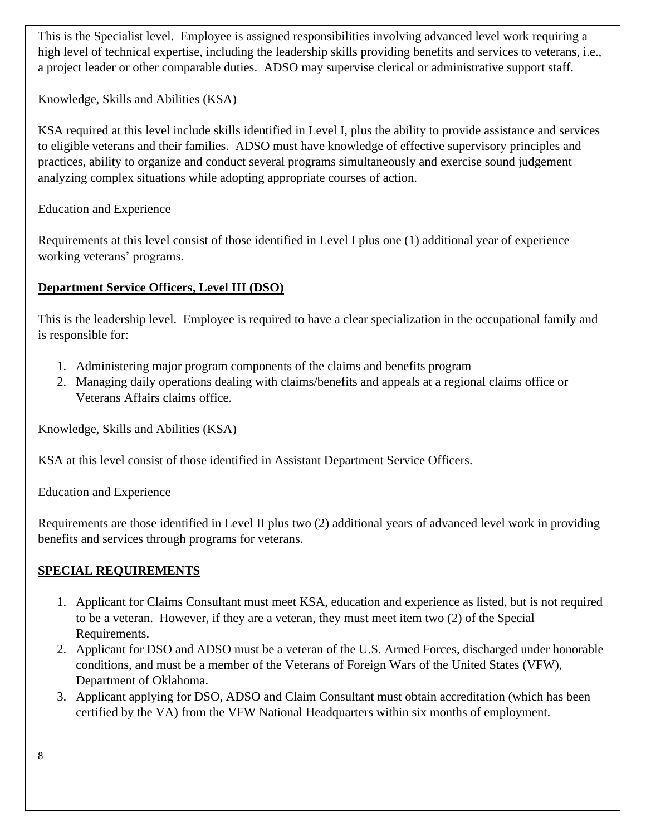This is the Specialist level. Employee is assigned responsibilities involving advanced level work requiring a high level of technical expertise, including the leadership skills providing benefits and services to veterans, i.e., a project leader or other comparable duties. ADSO may supervise clerical or administrative support staff.

### Knowledge, Skills and Abilities (KSA)

KSA required at this level include skills identified in Level I, plus the ability to provide assistance and services to eligible veterans and their families. ADSO must have knowledge of effective supervisory principles and practices, ability to organize and conduct several programs simultaneously and exercise sound judgement analyzing complex situations while adopting appropriate courses of action.

### Education and Experience

Requirements at this level consist of those identified in Level I plus one (1) additional year of experience working veterans' programs.

## **Department Service Officers, Level III (DSO)**

This is the leadership level. Employee is required to have a clear specialization in the occupational family and is responsible for:

- 1. Administering major program components of the claims and benefits program
- 2. Managing daily operations dealing with claims/benefits and appeals at a regional claims office or Veterans Affairs claims office.

Knowledge, Skills and Abilities (KSA)

KSA at this level consist of those identified in Assistant Department Service Officers.

#### Education and Experience

Requirements are those identified in Level II plus two (2) additional years of advanced level work in providing benefits and services through programs for veterans.

## **SPECIAL REQUIREMENTS**

- 1. Applicant for Claims Consultant must meet KSA, education and experience as listed, but is not required to be a veteran. However, if they are a veteran, they must meet item two (2) of the Special Requirements.
- 2. Applicant for DSO and ADSO must be a veteran of the U.S. Armed Forces, discharged under honorable conditions, and must be a member of the Veterans of Foreign Wars of the United States (VFW), Department of Oklahoma.
- 3. Applicant applying for DSO, ADSO and Claim Consultant must obtain accreditation (which has been certified by the VA) from the VFW National Headquarters within six months of employment.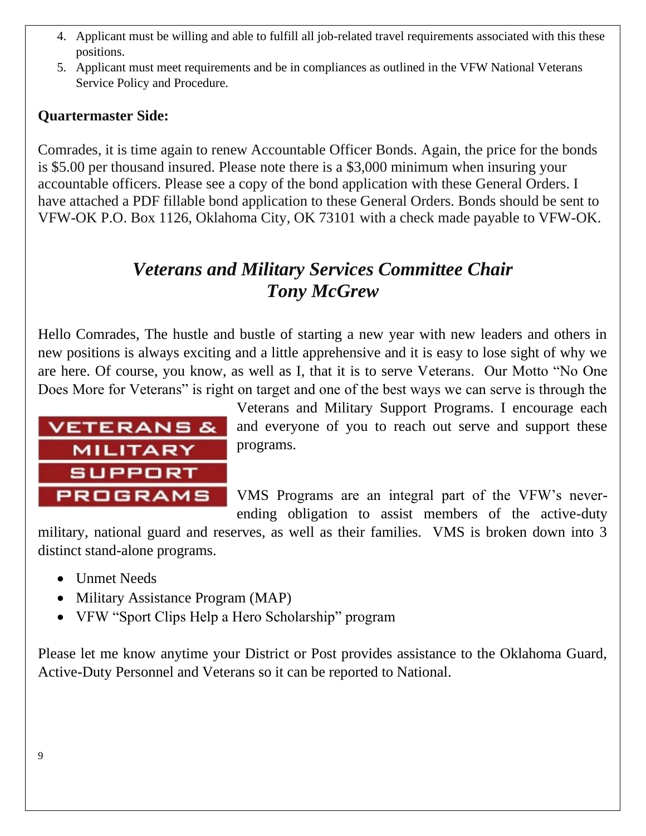- 4. Applicant must be willing and able to fulfill all job-related travel requirements associated with this these positions.
- 5. Applicant must meet requirements and be in compliances as outlined in the VFW National Veterans Service Policy and Procedure.

## **Quartermaster Side:**

Comrades, it is time again to renew Accountable Officer Bonds. Again, the price for the bonds is \$5.00 per thousand insured. Please note there is a \$3,000 minimum when insuring your accountable officers. Please see a copy of the bond application with these General Orders. I have attached a PDF fillable bond application to these General Orders. Bonds should be sent to VFW-OK P.O. Box 1126, Oklahoma City, OK 73101 with a check made payable to VFW-OK.

# *Veterans and Military Services Committee Chair Tony McGrew*

Hello Comrades, The hustle and bustle of starting a new year with new leaders and others in new positions is always exciting and a little apprehensive and it is easy to lose sight of why we are here. Of course, you know, as well as I, that it is to serve Veterans. Our Motto "No One Does More for Veterans" is right on target and one of the best ways we can serve is through the



Veterans and Military Support Programs. I encourage each and everyone of you to reach out serve and support these programs.

VMS Programs are an integral part of the VFW's neverending obligation to assist members of the active-duty

military, national guard and reserves, as well as their families. VMS is broken down into 3 distinct stand-alone programs.

- Unmet Needs
- Military Assistance Program (MAP)
- VFW "Sport Clips Help a Hero Scholarship" program

Please let me know anytime your District or Post provides assistance to the Oklahoma Guard, Active-Duty Personnel and Veterans so it can be reported to National.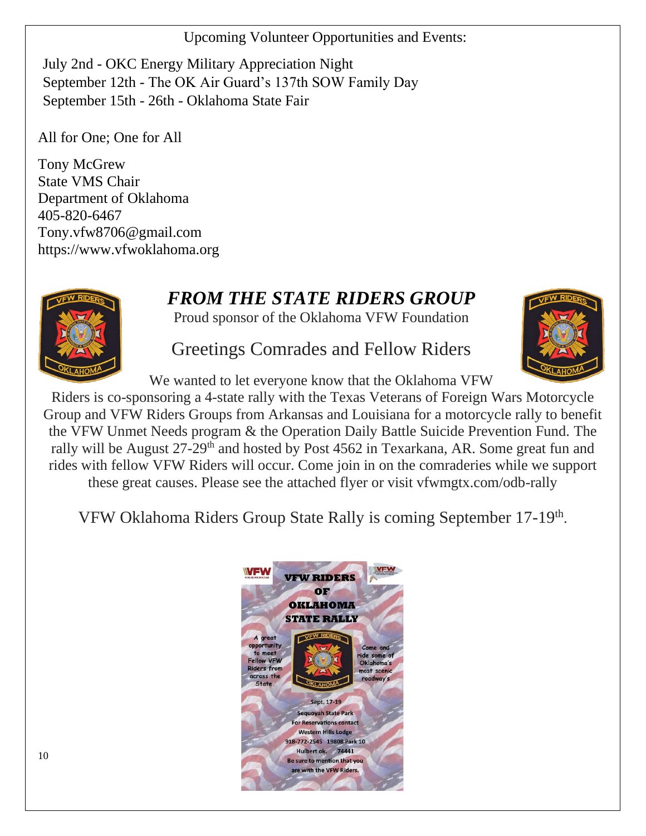Upcoming Volunteer Opportunities and Events:

July 2nd - OKC Energy Military Appreciation Night September 12th - The OK Air Guard's 137th SOW Family Day September 15th - 26th - Oklahoma State Fair

All for One; One for All

Tony McGrew State VMS Chair Department of Oklahoma 405-820-6467 [Tony.vfw8706@gmail.com](mailto:Tony.vfw8706@gmail.com) [https://www.vfwoklahoma.org](https://www.vfwoklahoma.org/)

# *FROM THE STATE RIDERS GROUP*

Proud sponsor of the Oklahoma VFW Foundation



Greetings Comrades and Fellow Riders

We wanted to let everyone know that the Oklahoma VFW

Riders is co-sponsoring a 4-state rally with the Texas Veterans of Foreign Wars Motorcycle Group and VFW Riders Groups from Arkansas and Louisiana for a motorcycle rally to benefit the VFW Unmet Needs program & the Operation Daily Battle Suicide Prevention Fund. The rally will be August 27-29<sup>th</sup> and hosted by Post 4562 in Texarkana, AR. Some great fun and rides with fellow VFW Riders will occur. Come join in on the comraderies while we support these great causes. Please see the attached flyer or visit vfwmgtx.com/odb-rally

VFW Oklahoma Riders Group State Rally is coming September 17-19<sup>th</sup>.

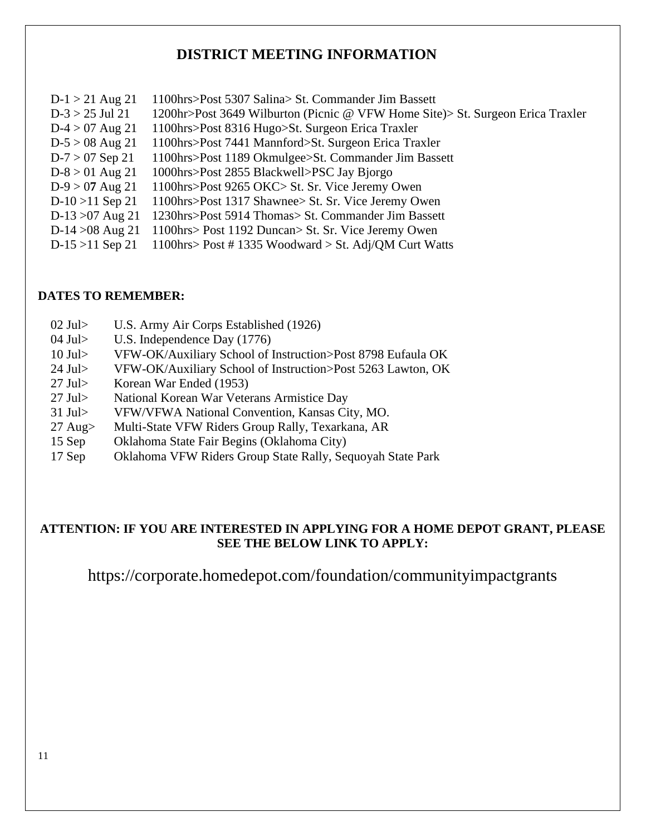## **DISTRICT MEETING INFORMATION**

| $D-1 > 21$ Aug 21  | 1100hrs>Post 5307 Salina> St. Commander Jim Bassett                            |
|--------------------|--------------------------------------------------------------------------------|
| $D-3 > 25$ Jul 21  | 1200hr>Post 3649 Wilburton (Picnic @ VFW Home Site)> St. Surgeon Erica Traxler |
| $D-4 > 07$ Aug 21  | 1100hrs>Post 8316 Hugo>St. Surgeon Erica Traxler                               |
| $D-5 > 08$ Aug 21  | 1100hrs>Post 7441 Mannford>St. Surgeon Erica Traxler                           |
| $D-7 > 07$ Sep 21  | 1100hrs>Post 1189 Okmulgee>St. Commander Jim Bassett                           |
| $D-8 > 01$ Aug 21  | 1000hrs>Post 2855 Blackwell>PSC Jay Bjorgo                                     |
| $D-9 > 07$ Aug 21  | 1100hrs>Post 9265 OKC> St. Sr. Vice Jeremy Owen                                |
| $D-10 > 11$ Sep 21 | 1100hrs>Post 1317 Shawnee> St. Sr. Vice Jeremy Owen                            |
| D-13 $>07$ Aug 21  | 1230hrs>Post 5914 Thomas> St. Commander Jim Bassett                            |
| $D-14 > 08$ Aug 21 | 1100hrs> Post 1192 Duncan> St. Sr. Vice Jeremy Owen                            |
| $D-15 > 11$ Sep 21 | 1100hrs> Post #1335 Woodward > St. Adj/QM Curt Watts                           |

#### **DATES TO REMEMBER:**

- 02 Jul> U.S. Army Air Corps Established (1926)
- 04 Jul> U.S. Independence Day (1776)
- 10 Jul> VFW-OK/Auxiliary School of Instruction>Post 8798 Eufaula OK
- 24 Jul> VFW-OK/Auxiliary School of Instruction>Post 5263 Lawton, OK
- 27 Jul> Korean War Ended (1953)
- 27 Jul> National Korean War Veterans Armistice Day
- 31 Jul> VFW/VFWA National Convention, Kansas City, MO.
- 27 Aug> Multi-State VFW Riders Group Rally, Texarkana, AR
- 15 Sep Oklahoma State Fair Begins (Oklahoma City)
- 17 Sep Oklahoma VFW Riders Group State Rally, Sequoyah State Park

#### **ATTENTION: IF YOU ARE INTERESTED IN APPLYING FOR A HOME DEPOT GRANT, PLEASE SEE THE BELOW LINK TO APPLY:**

https://corporate.homedepot.com/foundation/communityimpactgrants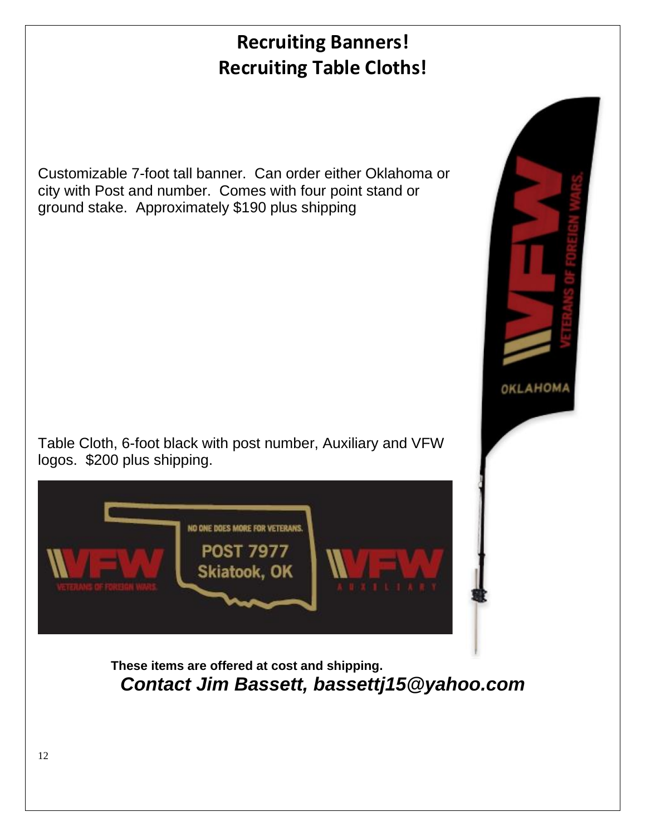# **Recruiting Banners! Recruiting Table Cloths!**

Customizable 7-foot tall banner. Can order either Oklahoma or city with Post and number. Comes with four point stand or ground stake. Approximately \$190 plus shipping

Table Cloth, 6-foot black with post number, Auxiliary and VFW logos. \$200 plus shipping.

NO ONE DOES MORE FOR VETERANS.

**POST 7977** Skiatook, OK

**These items are offered at cost and shipping.** *Contact Jim Bassett, bassettj15@yahoo.com*

OKLAHOMA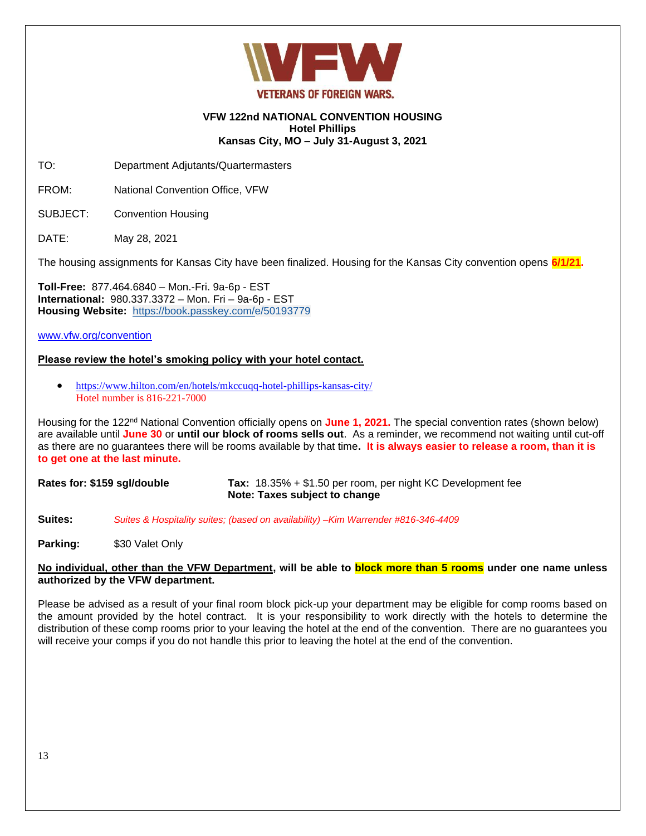

#### **VFW 122nd NATIONAL CONVENTION HOUSING Hotel Phillips Kansas City, MO – July 31-August 3, 2021**

TO: Department Adjutants/Quartermasters

FROM: National Convention Office, VFW

SUBJECT: Convention Housing

DATE: May 28, 2021

The housing assignments for Kansas City have been finalized. Housing for the Kansas City convention opens **6/1/21.** 

**Toll-Free:** 877.464.6840 – Mon.-Fri. 9a-6p - EST **International:** 980.337.3372 – Mon. Fri – 9a-6p - EST **Housing Website:** [https://book.passkey.com/e/50193779](https://protect-us.mimecast.com/s/_T55CVOkr6T994MhG1RPW)

[www.vfw.org/convention](http://www.vfw.org/convention)

#### **Please review the hotel's smoking policy with your hotel contact.**

• <https://www.hilton.com/en/hotels/mkccuqq-hotel-phillips-kansas-city/> Hotel number is 816-221-7000

Housing for the 122<sup>nd</sup> National Convention officially opens on June 1, 2021. The special convention rates (shown below) are available until **June 30** or **until our block of rooms sells out**. As a reminder, we recommend not waiting until cut-off as there are no guarantees there will be rooms available by that time**. It is always easier to release a room, than it is to get one at the last minute.** 

**Rates for: \$159 sgl/double Tax:** 18.35% + \$1.50 per room, per night KC Development fee **Note: Taxes subject to change**

**Suites:** *Suites & Hospitality suites; (based on availability) –Kim Warrender #816-346-4409*

**Parking:** \$30 Valet Only

#### **No individual, other than the VFW Department, will be able to block more than 5 rooms under one name unless authorized by the VFW department.**

Please be advised as a result of your final room block pick-up your department may be eligible for comp rooms based on the amount provided by the hotel contract. It is your responsibility to work directly with the hotels to determine the distribution of these comp rooms prior to your leaving the hotel at the end of the convention. There are no guarantees you will receive your comps if you do not handle this prior to leaving the hotel at the end of the convention.